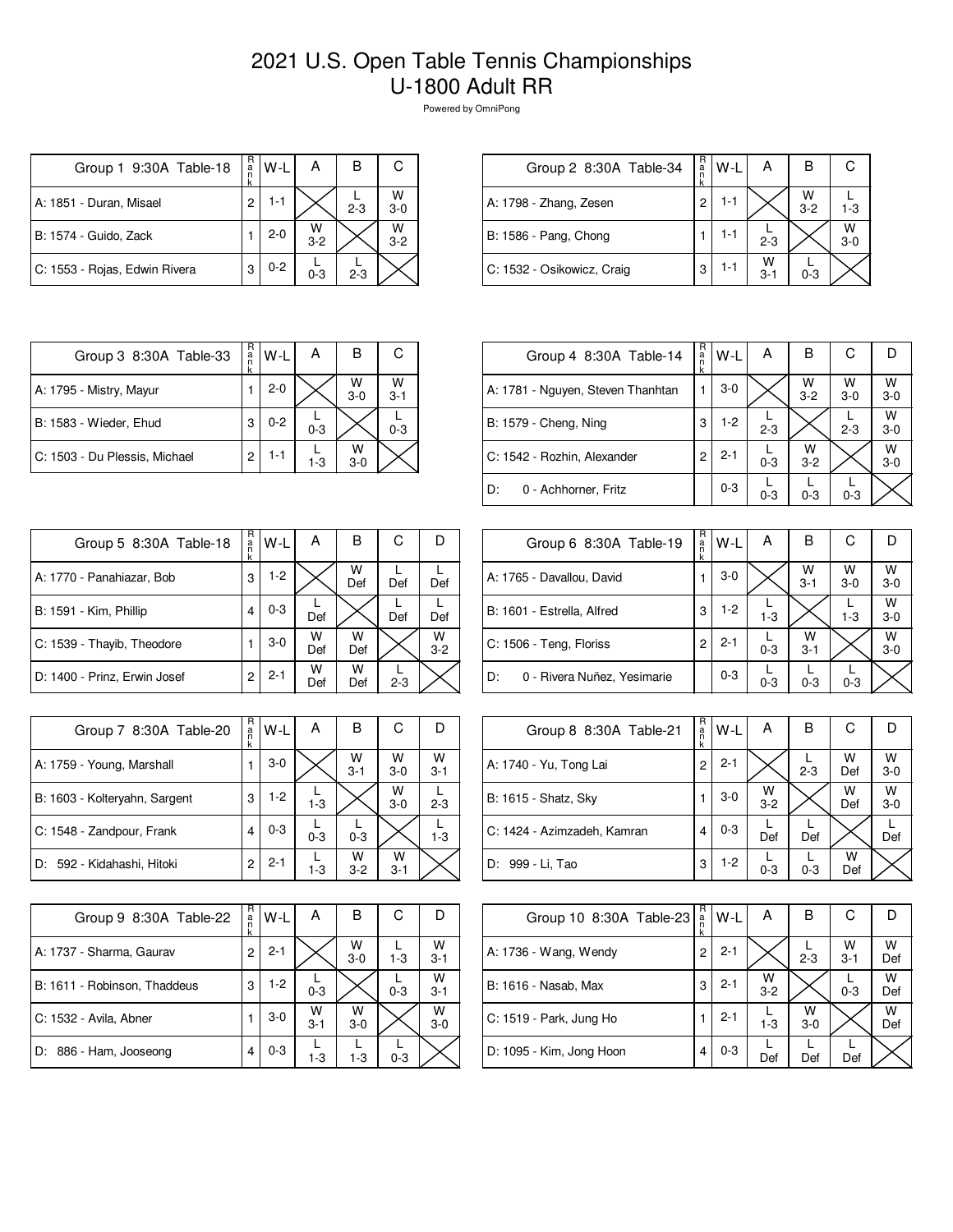## 2021 U.S. Open Table Tennis Championships U-1800 Adult RR

Powered by OmniPong

| Group 1 9:30A Table-18        | R<br>a<br>n | W-L     | А            | В       | С            |
|-------------------------------|-------------|---------|--------------|---------|--------------|
| A: 1851 - Duran, Misael       | 2           | $1 - 1$ |              | $2 - 3$ | W<br>$3 - 0$ |
| B: 1574 - Guido, Zack         |             | $2 - 0$ | W<br>$3 - 2$ |         | W<br>$3-2$   |
| C: 1553 - Rojas, Edwin Rivera | 3           | $0 - 2$ | $0 - 3$      | $2 - 3$ |              |

| Group 2 8:30A Table-34     | R<br>a<br>ñ | $W-L$ | А            | B            |              |
|----------------------------|-------------|-------|--------------|--------------|--------------|
| A: 1798 - Zhang, Zesen     | 2           | 1-1   |              | W<br>$3 - 2$ | $1 - 3$      |
| B: 1586 - Pang, Chong      |             | 1-1   | $2 - 3$      |              | W<br>$3 - 0$ |
| C: 1532 - Osikowicz, Craig | З           | 1 - 1 | w<br>$3 - 1$ | $0 - 3$      |              |

| Group 3 8:30A Table-33        | R<br>a<br>n    | W-L     | А       | в          | С            |
|-------------------------------|----------------|---------|---------|------------|--------------|
| A: 1795 - Mistry, Mayur       |                | $2 - 0$ |         | W<br>$3-0$ | w<br>$3 - 1$ |
| B: 1583 - Wieder, Ehud        | 3              | $0 - 2$ | $0 - 3$ |            | $0 - 3$      |
| C: 1503 - Du Plessis, Michael | $\overline{c}$ | $1 - 1$ | 1-3     | W<br>$3-0$ |              |

| Group 4 8:30A Table-14            | R<br>$\frac{a}{n}$<br>k | $W-L$   | А       | в            | С            |              |
|-----------------------------------|-------------------------|---------|---------|--------------|--------------|--------------|
| A: 1781 - Nguyen, Steven Thanhtan |                         | $3-0$   |         | W<br>$3 - 2$ | W<br>$3 - 0$ | W<br>$3 - 0$ |
| B: 1579 - Cheng, Ning             | 3                       | $1-2$   | $2 - 3$ |              | $2 - 3$      | W<br>$3-0$   |
| C: 1542 - Rozhin, Alexander       | 2                       | $2 - 1$ | $0 - 3$ | W<br>$3 - 2$ |              | W<br>$3 - 0$ |
| ID:<br>0 - Achhorner, Fritz       |                         | $0 - 3$ | $0 - 3$ | $0 - 3$      | $0 - 3$      |              |

| Group 5 8:30A Table-18       | R<br>a<br>n<br>k | W-L     | Α        | В        | С       |              |
|------------------------------|------------------|---------|----------|----------|---------|--------------|
| A: 1770 - Panahiazar, Bob    | 3                | $1-2$   |          | W<br>Def | Def     | Def          |
| B: 1591 - Kim, Phillip       | 4                | $0 - 3$ | Def      |          | Def     | Def          |
| C: 1539 - Thayib, Theodore   |                  | $3-0$   | W<br>Def | w<br>Def |         | W<br>$3 - 2$ |
| D: 1400 - Prinz, Erwin Josef | 2                | $2 - 1$ | W<br>Def | w<br>Def | $2 - 3$ |              |

| Group 7 8:30A Table-20        | R<br>a<br>n<br>k | W-L     | А       | В            | С            |              |
|-------------------------------|------------------|---------|---------|--------------|--------------|--------------|
| A: 1759 - Young, Marshall     |                  | $3-0$   |         | W<br>$3 - 1$ | W<br>$3-0$   | W<br>$3 - 1$ |
| B: 1603 - Kolteryahn, Sargent | 3                | $1-2$   | $1 - 3$ |              | W<br>$3-0$   | $2 - 3$      |
| C: 1548 - Zandpour, Frank     | 4                | $0 - 3$ | $0 - 3$ | $0 - 3$      |              | 1-3          |
| D: 592 - Kidahashi, Hitoki    | 2                | $2 - 1$ | $1 - 3$ | w<br>$3-2$   | w<br>$3 - 1$ |              |

| Group 9 8:30A Table-22       | R<br>a<br>ñ<br>k | W-L     | А            | в            | С       |              |
|------------------------------|------------------|---------|--------------|--------------|---------|--------------|
| A: 1737 - Sharma, Gaurav     | 2                | $2 - 1$ |              | W<br>$3 - 0$ | $1 - 3$ | W<br>$3 - 1$ |
| B: 1611 - Robinson, Thaddeus | 3                | $1-2$   | $0 - 3$      |              | $0 - 3$ | w<br>$3 - 1$ |
| C: 1532 - Avila, Abner       |                  | $3-0$   | W<br>$3 - 1$ | w<br>$3-0$   |         | W<br>$3 - 0$ |
| D: 886 - Ham, Jooseong       |                  | $0 - 3$ | $1 - 3$      | $1 - 3$      | $0 - 3$ |              |

| Group 6 8:30A Table-19            | R<br>$\frac{a}{n}$<br>k | W-L     | А       | в            | С          |            |
|-----------------------------------|-------------------------|---------|---------|--------------|------------|------------|
| A: 1765 - Davallou, David         |                         | $3-0$   |         | W<br>$3 - 1$ | W<br>$3-0$ | W<br>$3-0$ |
| B: 1601 - Estrella, Alfred        | 3                       | 1-2     | $1 - 3$ |              | $1 - 3$    | W<br>$3-0$ |
| C: 1506 - Teng, Floriss           | 2                       | $2 - 1$ | $0 - 3$ | W<br>$3 - 1$ |            | W<br>$3-0$ |
| D:<br>0 - Rivera Nuñez, Yesimarie |                         | $0 - 3$ | $0 - 3$ | $0 - 3$      | $0 - 3$    |            |

| Group 8 8:30A Table-21      | R<br>$\frac{a}{n}$<br>k | $W-L$   | А                  | B       | С        |              |
|-----------------------------|-------------------------|---------|--------------------|---------|----------|--------------|
| A: 1740 - Yu, Tong Lai      | 2                       | $2 - 1$ |                    | $2 - 3$ | w<br>Def | W<br>$3-0$   |
| B: 1615 - Shatz, Sky        |                         | $3-0$   | $W$ <sub>3-2</sub> |         | W<br>Def | w<br>$3 - 0$ |
| C: 1424 - Azimzadeh, Kamran | 4                       | $0 - 3$ | Def                | Def     |          | Def          |
| D: 999 - Li, Tao            | 3                       | $1-2$   | $0 - 3$            | $0 - 3$ | w<br>Def |              |

| Group 10 8:30A Table-23  | R<br>a | W-L     | А          | в            | С            |          |
|--------------------------|--------|---------|------------|--------------|--------------|----------|
| A: 1736 - Wang, Wendy    | 2      | $2 - 1$ |            | $2 - 3$      | W<br>$3 - 1$ | W<br>Def |
| B: 1616 - Nasab, Max     | 3      | $2 - 1$ | W<br>$3-2$ |              | $0 - 3$      | w<br>Def |
| C: 1519 - Park, Jung Ho  |        | $2 - 1$ | $1 - 3$    | W<br>$3 - 0$ |              | W<br>Def |
| D: 1095 - Kim, Jong Hoon | 4      | $0 - 3$ | Def        | Def          | Def          |          |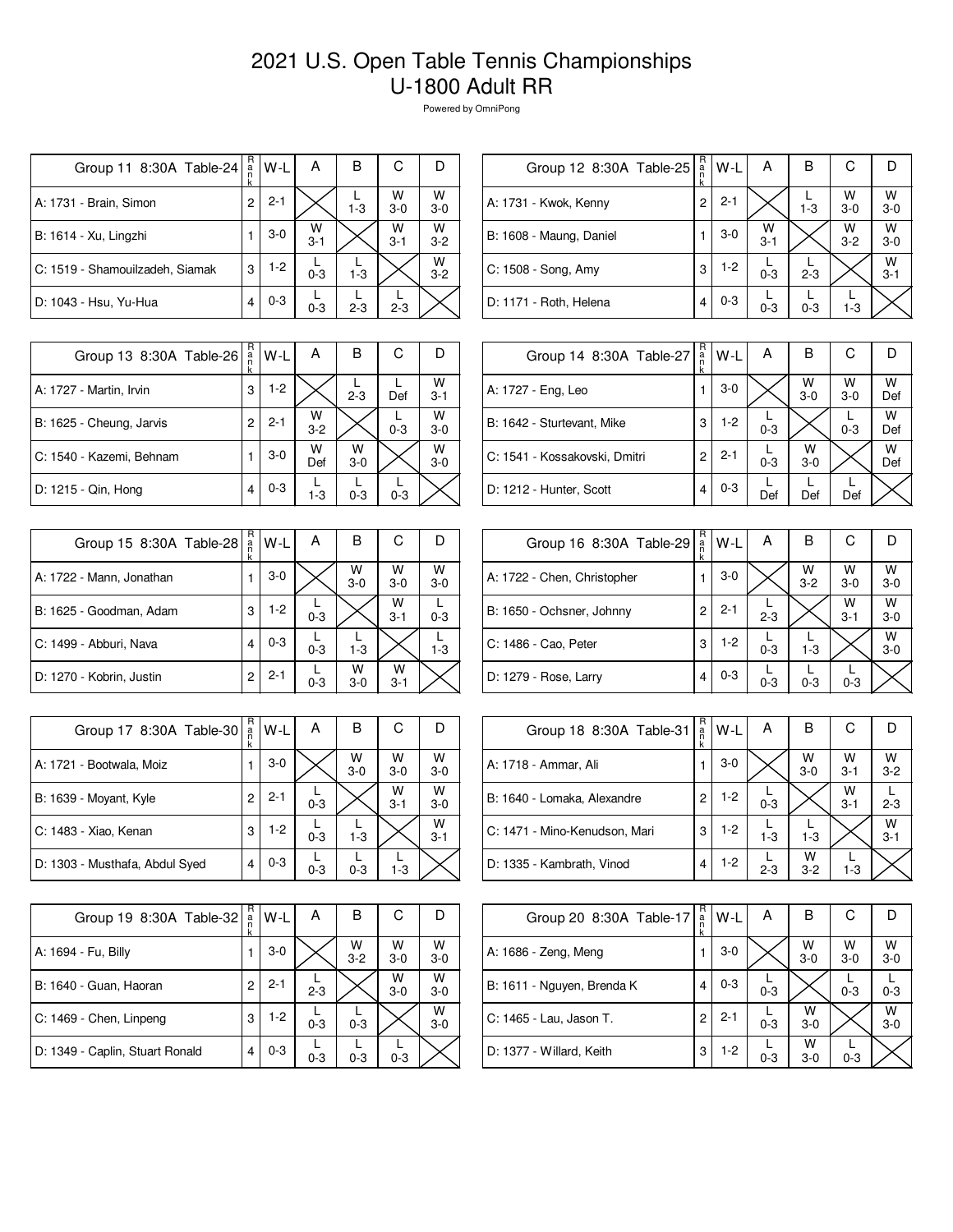## 2021 U.S. Open Table Tennis Championships U-1800 Adult RR

Powered by OmniPong

| Group 11 8:30A Table-24         | R<br>a<br>n | W-L     | Α            | в       | С            |              |
|---------------------------------|-------------|---------|--------------|---------|--------------|--------------|
| A: 1731 - Brain, Simon          | 2           | $2 - 1$ |              | $1 - 3$ | W<br>$3-0$   | W<br>$3-0$   |
| B: 1614 - Xu, Lingzhi           |             | $3-0$   | W<br>$3 - 1$ |         | W<br>$3 - 1$ | W<br>$3 - 2$ |
| C: 1519 - Shamouilzadeh, Siamak | 3           | $1-2$   | $0 - 3$      | $1 - 3$ |              | W<br>$3-2$   |
| D: 1043 - Hsu, Yu-Hua           | 4           | $0 - 3$ | $0 - 3$      | $2 - 3$ | $2 - 3$      |              |

| $R_{a}$<br>k | W-L                     | Α            | В       | С          |              |
|--------------|-------------------------|--------------|---------|------------|--------------|
| 2            | $2 - 1$                 |              | $1 - 3$ | W<br>$3-0$ | w<br>$3 - 0$ |
|              | $3-0$                   | W<br>$3 - 1$ |         | W<br>$3-2$ | w<br>$3-0$   |
| 3            | $1-2$                   | $0 - 3$      | $2 - 3$ |            | W<br>$3 - 1$ |
| 4            | $0 - 3$                 | $0 - 3$      | $0 - 3$ | $1-3$      |              |
|              | Group 12 8:30A Table-25 |              |         |            |              |

| Group 13 8:30A Table-26  | R<br>a<br>n<br>k | $W-L$   | А            | в          | С       |              |
|--------------------------|------------------|---------|--------------|------------|---------|--------------|
| A: 1727 - Martin, Irvin  | 3                | $1 - 2$ |              | $2 - 3$    | Def     | W<br>$3 - 1$ |
| B: 1625 - Cheung, Jarvis | 2                | $2 - 1$ | W<br>$3 - 2$ |            | $0 - 3$ | W<br>$3 - 0$ |
| C: 1540 - Kazemi, Behnam |                  | $3-0$   | W<br>Def     | w<br>$3-0$ |         | W<br>$3-0$   |
| D: 1215 - Qin, Hong      | 4                | $0 - 3$ | $1-3$        | $0 - 3$    | $0 - 3$ |              |

| Group 15 8:30A Table-28  | R<br>$\frac{a}{n}$<br>k | W-L     | Α       | в          | С            |              |
|--------------------------|-------------------------|---------|---------|------------|--------------|--------------|
| A: 1722 - Mann, Jonathan |                         | $3-0$   |         | W<br>$3-0$ | W<br>$3-0$   | W<br>$3 - 0$ |
| B: 1625 - Goodman, Adam  | 3                       | $1-2$   | $0 - 3$ |            | W<br>$3 - 1$ | $0 - 3$      |
| C: 1499 - Abburi, Nava   | 4                       | $0 - 3$ | $0 - 3$ | $1 - 3$    |              | $1 - 3$      |
| D: 1270 - Kobrin, Justin | 2                       | $2 - 1$ | $0 - 3$ | w<br>$3-0$ | w<br>$3 - 1$ |              |

| Group 17 8:30A Table-30        | R<br>$\frac{a}{n}$<br>k | W-L     | А       | в            | С            |              |
|--------------------------------|-------------------------|---------|---------|--------------|--------------|--------------|
| A: 1721 - Bootwala, Moiz       |                         | $3-0$   |         | W<br>$3 - 0$ | W<br>$3-0$   | W<br>$3 - 0$ |
| B: 1639 - Moyant, Kyle         | 2                       | $2 - 1$ | $0 - 3$ |              | W<br>$3 - 1$ | w<br>$3-0$   |
| C: 1483 - Xiao, Kenan          | 3                       | $1-2$   | $0 - 3$ | $1 - 3$      |              | W<br>$3 - 1$ |
| D: 1303 - Musthafa, Abdul Syed | 4                       | $0 - 3$ | $0 - 3$ | $0 - 3$      | $1-3$        |              |

| Group 19 8:30A Table-32         | R<br>$\frac{a}{n}$<br>k | W-L     | А       | в            | С          |            |
|---------------------------------|-------------------------|---------|---------|--------------|------------|------------|
| A: 1694 - Fu, Billy             |                         | $3-0$   |         | W<br>$3 - 2$ | w<br>$3-0$ | W<br>$3-0$ |
| B: 1640 - Guan, Haoran          | 2                       | $2 - 1$ | $2 - 3$ |              | w<br>$3-0$ | W<br>$3-0$ |
| C: 1469 - Chen, Linpeng         | 3                       | $1-2$   | $0 - 3$ | $0 - 3$      |            | W<br>$3-0$ |
| D: 1349 - Caplin, Stuart Ronald | 4                       | $0 - 3$ | $0 - 3$ | $0 - 3$      | $0 - 3$    |            |

| Group 14 8:30A Table-27       | R<br>a<br>k | W-L     | A       | в            | С            |          |
|-------------------------------|-------------|---------|---------|--------------|--------------|----------|
| A: 1727 - Eng, Leo            |             | $3-0$   |         | w<br>$3 - 0$ | W<br>$3 - 0$ | W<br>Def |
| B: 1642 - Sturtevant, Mike    | 3           | $1-2$   | $0 - 3$ |              | $0 - 3$      | w<br>Def |
| C: 1541 - Kossakovski, Dmitri | 2           | $2 - 1$ | $0 - 3$ | w<br>$3 - 0$ |              | W<br>Def |
| D: 1212 - Hunter, Scott       | 4           | $0 - 3$ | Def     | Def          | Def          |          |

| Group 16 8:30A Table-29     | R<br>a | W-L     | Α       | в            | С            |            |
|-----------------------------|--------|---------|---------|--------------|--------------|------------|
| A: 1722 - Chen, Christopher |        | $3-0$   |         | W<br>$3 - 2$ | W<br>$3-0$   | w<br>$3-0$ |
| B: 1650 - Ochsner, Johnny   | 2      | $2 - 1$ | $2 - 3$ |              | W<br>$3 - 1$ | W<br>$3-0$ |
| C: 1486 - Cao, Peter        | 3      | 1-2     | $0 - 3$ | $1 - 3$      |              | W<br>$3-0$ |
| D: 1279 - Rose, Larry       | 4      | $0 - 3$ | $0 - 3$ | $0 - 3$      | $0 - 3$      |            |

| Group 18 8:30A Table-31       | R<br>a | W-L   | Α       | в            | С            |              |
|-------------------------------|--------|-------|---------|--------------|--------------|--------------|
| A: 1718 - Ammar, Ali          |        | $3-0$ |         | W<br>$3 - 0$ | W<br>$3 - 1$ | W<br>$3 - 2$ |
| B: 1640 - Lomaka, Alexandre   | 2      | 1-2   | $0 - 3$ |              | W<br>$3 - 1$ | $2 - 3$      |
| C: 1471 - Mino-Kenudson, Mari | 3      | $1-2$ | $1 - 3$ | $1 - 3$      |              | W<br>$3 - 1$ |
| D: 1335 - Kambrath, Vinod     | 4      | $1-2$ | $2 - 3$ | W<br>$3 - 2$ | $1 - 3$      |              |

| Group 20 8:30A Table-17    | R<br>a | $W-L$   | А       | B          | С          |              |
|----------------------------|--------|---------|---------|------------|------------|--------------|
| A: 1686 - Zeng, Meng       |        | $3-0$   |         | W<br>$3-0$ | w<br>$3-0$ | w<br>$3-0$   |
| B: 1611 - Nguyen, Brenda K | 4      | $0 - 3$ | $0 - 3$ |            | $0 - 3$    | $0 - 3$      |
| C: 1465 - Lau, Jason T.    | 2      | $2 - 1$ | $0 - 3$ | W<br>$3-0$ |            | W<br>$3 - 0$ |
| D: 1377 - Willard, Keith   | 3      | 1-2     | $0 - 3$ | W<br>$3-0$ | $0 - 3$    |              |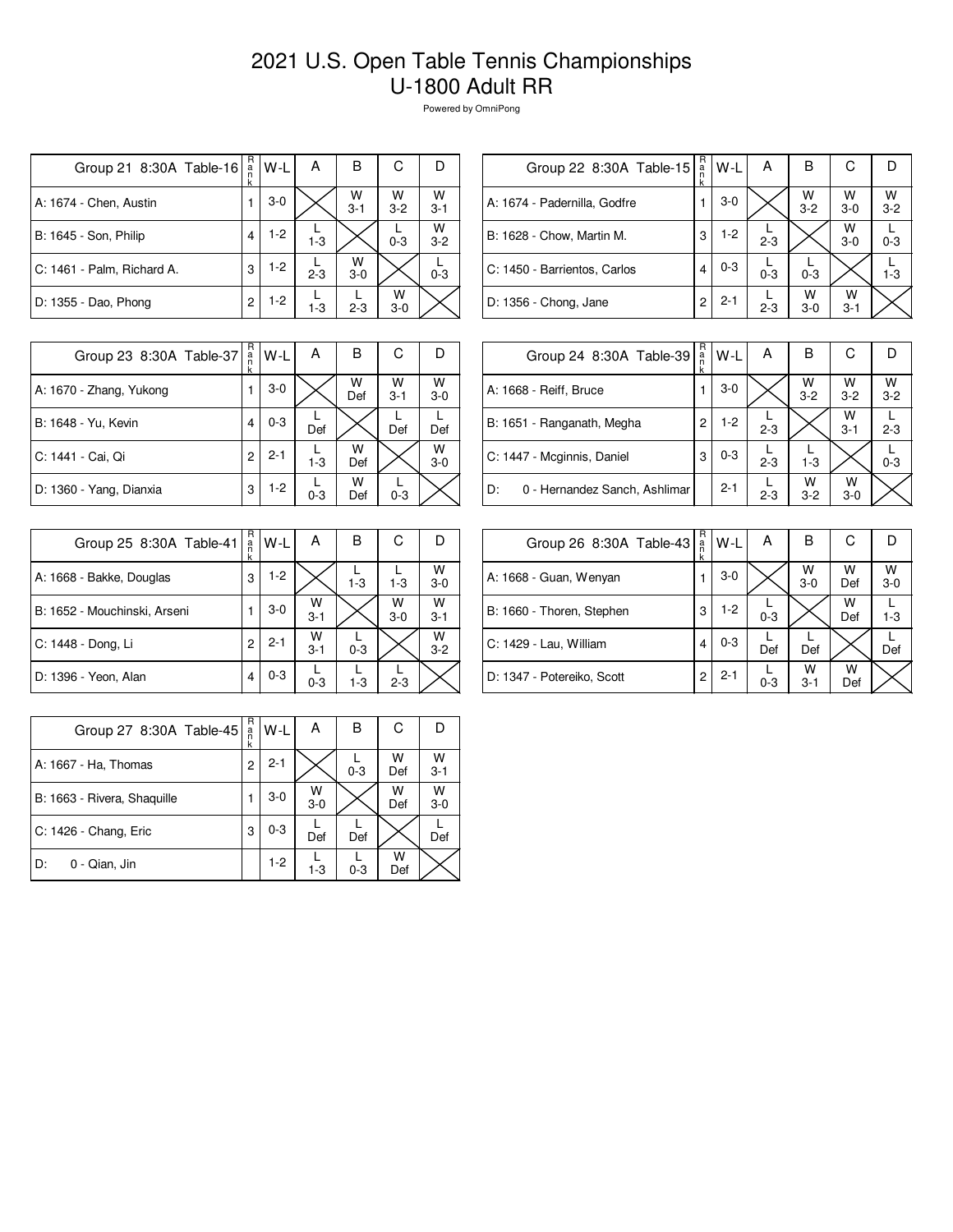## 2021 U.S. Open Table Tennis Championships U-1800 Adult RR

Powered by OmniPong

| Group 21 8:30A Table-16    | R<br>a<br>n<br>k | W-L   | А       | в            | С            |              |
|----------------------------|------------------|-------|---------|--------------|--------------|--------------|
| A: 1674 - Chen, Austin     |                  | $3-0$ |         | W<br>$3 - 1$ | W<br>$3 - 2$ | W<br>$3 - 1$ |
| B: 1645 - Son, Philip      | 4                | $1-2$ | $1 - 3$ |              | $0 - 3$      | W<br>$3 - 2$ |
| C: 1461 - Palm, Richard A. | 3                | $1-2$ | $2 - 3$ | w<br>$3-0$   |              | $0 - 3$      |
| D: 1355 - Dao, Phong       | 2                | $1-2$ | $1 - 3$ | $2 - 3$      | W<br>$3-0$   |              |

| Group 22 8:30A Table-15      | R<br>$\frac{a}{n}$<br>k | W-L     | Α       | в                  | С            |              |
|------------------------------|-------------------------|---------|---------|--------------------|--------------|--------------|
| A: 1674 - Padernilla, Godfre |                         | $3-0$   |         | $W$ <sub>3-2</sub> | w<br>$3-0$   | W<br>$3 - 2$ |
| B: 1628 - Chow, Martin M.    | 3                       | $1-2$   | $2 - 3$ |                    | W<br>$3-0$   | $0 - 3$      |
| C: 1450 - Barrientos, Carlos | 4                       | $0 - 3$ | $0 - 3$ | $0 - 3$            |              | $1 - 3$      |
| D: 1356 - Chong, Jane        | 2                       | $2 - 1$ | $2 - 3$ | w<br>$3-0$         | w<br>$3 - 1$ |              |

| Group 23 8:30A Table-37 | R<br>a<br>k | W-L     | A       | в        | С            |              |
|-------------------------|-------------|---------|---------|----------|--------------|--------------|
| A: 1670 - Zhang, Yukong |             | $3-0$   |         | W<br>Def | W<br>$3 - 1$ | W<br>$3-0$   |
| B: 1648 - Yu, Kevin     | 4           | $0 - 3$ | Def     |          | Def          | Def          |
| C: 1441 - Cai, Qi       | 2           | $2 - 1$ | $1 - 3$ | w<br>Def |              | W<br>$3 - 0$ |
| D: 1360 - Yang, Dianxia | 3           | $1-2$   | $0 - 3$ | w<br>Def | $0 - 3$      |              |

| Group 24 8:30A Table-39             | R<br>$\frac{a}{n}$<br>k | W-L     | Α       | В            | С            |              |
|-------------------------------------|-------------------------|---------|---------|--------------|--------------|--------------|
| A: 1668 - Reiff, Bruce              |                         | $3-0$   |         | W<br>$3 - 2$ | W<br>$3-2$   | W<br>$3 - 2$ |
| B: 1651 - Ranganath, Megha          | 2                       | $1-2$   | $2 - 3$ |              | w<br>$3 - 1$ | $2 - 3$      |
| C: 1447 - Mcginnis, Daniel          | 3                       | $0 - 3$ | $2 - 3$ | $1-3$        |              | $0 - 3$      |
| 0 - Hernandez Sanch, Ashlimar<br>D: |                         | $2 - 1$ | $2 - 3$ | w<br>$3 - 2$ | w<br>$3-0$   |              |

| Group 25 8:30A Table-41      | R<br>$\frac{a}{n}$<br>k | W-L     | A            | В       | С          |              |
|------------------------------|-------------------------|---------|--------------|---------|------------|--------------|
| A: 1668 - Bakke, Douglas     | 3                       | $1-2$   |              | $1 - 3$ | $1 - 3$    | W<br>$3-0$   |
| B: 1652 - Mouchinski, Arseni |                         | $3-0$   | W<br>$3 - 1$ |         | W<br>$3-0$ | W<br>$3 - 1$ |
| C: 1448 - Dong, Li           | $\overline{c}$          | $2 - 1$ | W<br>$3 - 1$ | $0 - 3$ |            | W<br>$3 - 2$ |
| D: 1396 - Yeon, Alan         | 4                       | $0 - 3$ | $0 - 3$      | $1 - 3$ | $2 - 3$    |              |

| Group 26 8:30A Table-43    | R<br>$\frac{a}{n}$<br>k | $W-L$   | Α       | В            | С        |            |
|----------------------------|-------------------------|---------|---------|--------------|----------|------------|
| A: 1668 - Guan, Wenyan     |                         | $3-0$   |         | W<br>$3-0$   | w<br>Def | w<br>$3-0$ |
| B: 1660 - Thoren, Stephen  | 3                       | $1-2$   | $0 - 3$ |              | W<br>Def | $1 - 3$    |
| C: 1429 - Lau, William     | 4                       | $0 - 3$ | Def     | Def          |          | Def        |
| D: 1347 - Potereiko, Scott | 2                       | $2 - 1$ | $0 - 3$ | W<br>$3 - 1$ | W<br>Def |            |

| Group 27 8:30A Table-45     | $R_{a}$<br>k | W-L     | А          | В       | С        |                    |
|-----------------------------|--------------|---------|------------|---------|----------|--------------------|
| A: 1667 - Ha, Thomas        | 2            | $2 - 1$ |            | $0 - 3$ | W<br>Def | $W$ <sub>3-1</sub> |
| B: 1663 - Rivera, Shaquille |              | $3-0$   | W<br>$3-0$ |         | W<br>Def | W<br>$3 - 0$       |
| C: 1426 - Chang, Eric       | 3            | $0 - 3$ | Def        | Def     |          | Def                |
| D:<br>0 - Qian, Jin         |              | $1-2$   | $1 - 3$    | $0 - 3$ | w<br>Def |                    |